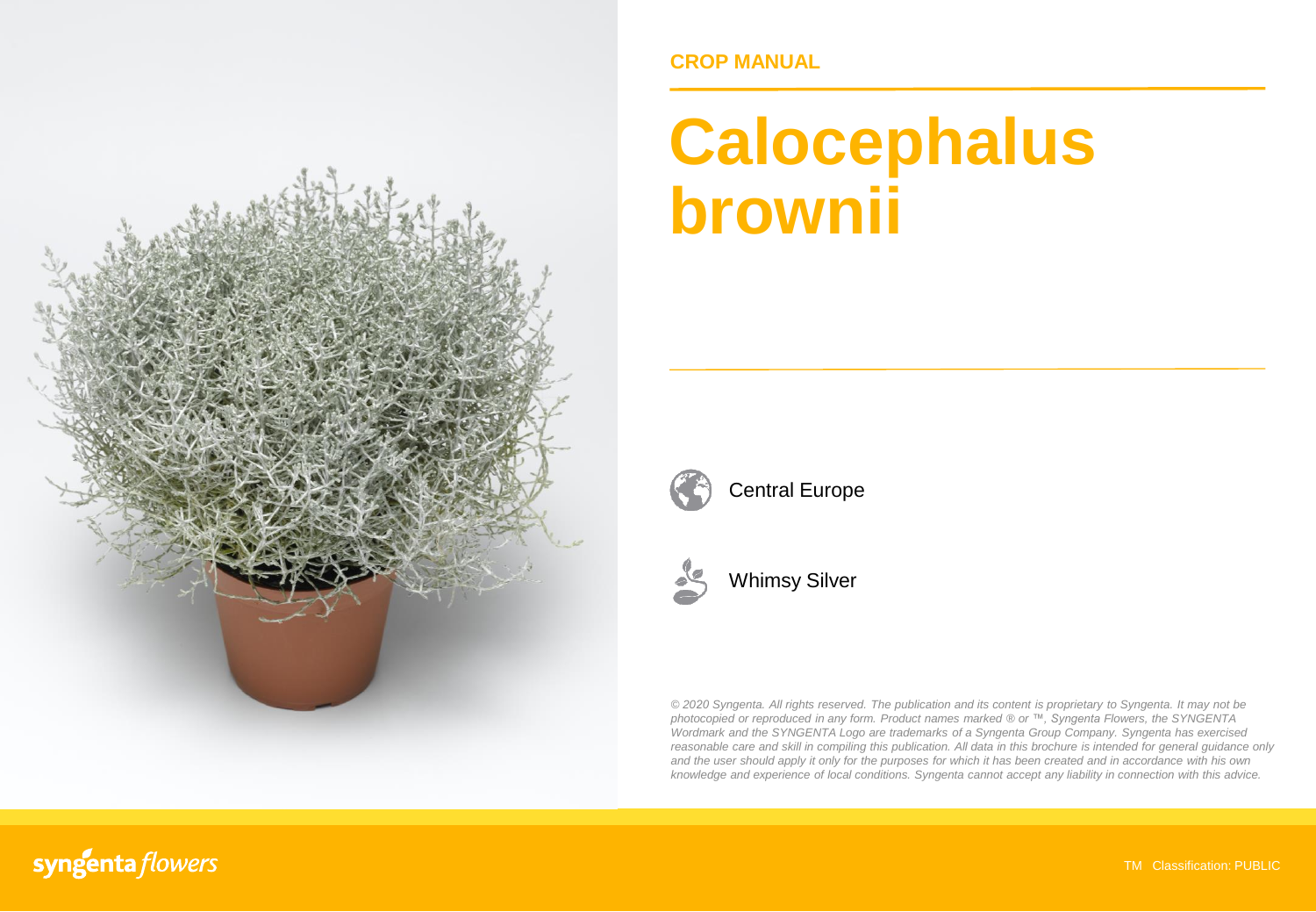

### **CROP MANUAL**

# **Calocephalus brownii**



Central Europe



Whimsy Silver

*© 2020 Syngenta. All rights reserved. The publication and its content is proprietary to Syngenta. It may not be photocopied or reproduced in any form. Product names marked ® or ™, Syngenta Flowers, the SYNGENTA Wordmark and the SYNGENTA Logo are trademarks of a Syngenta Group Company. Syngenta has exercised reasonable care and skill in compiling this publication. All data in this brochure is intended for general guidance only* and the user should apply it only for the purposes for which it has been created and in accordance with his own *knowledge and experience of local conditions. Syngenta cannot accept any liability in connection with this advice.*

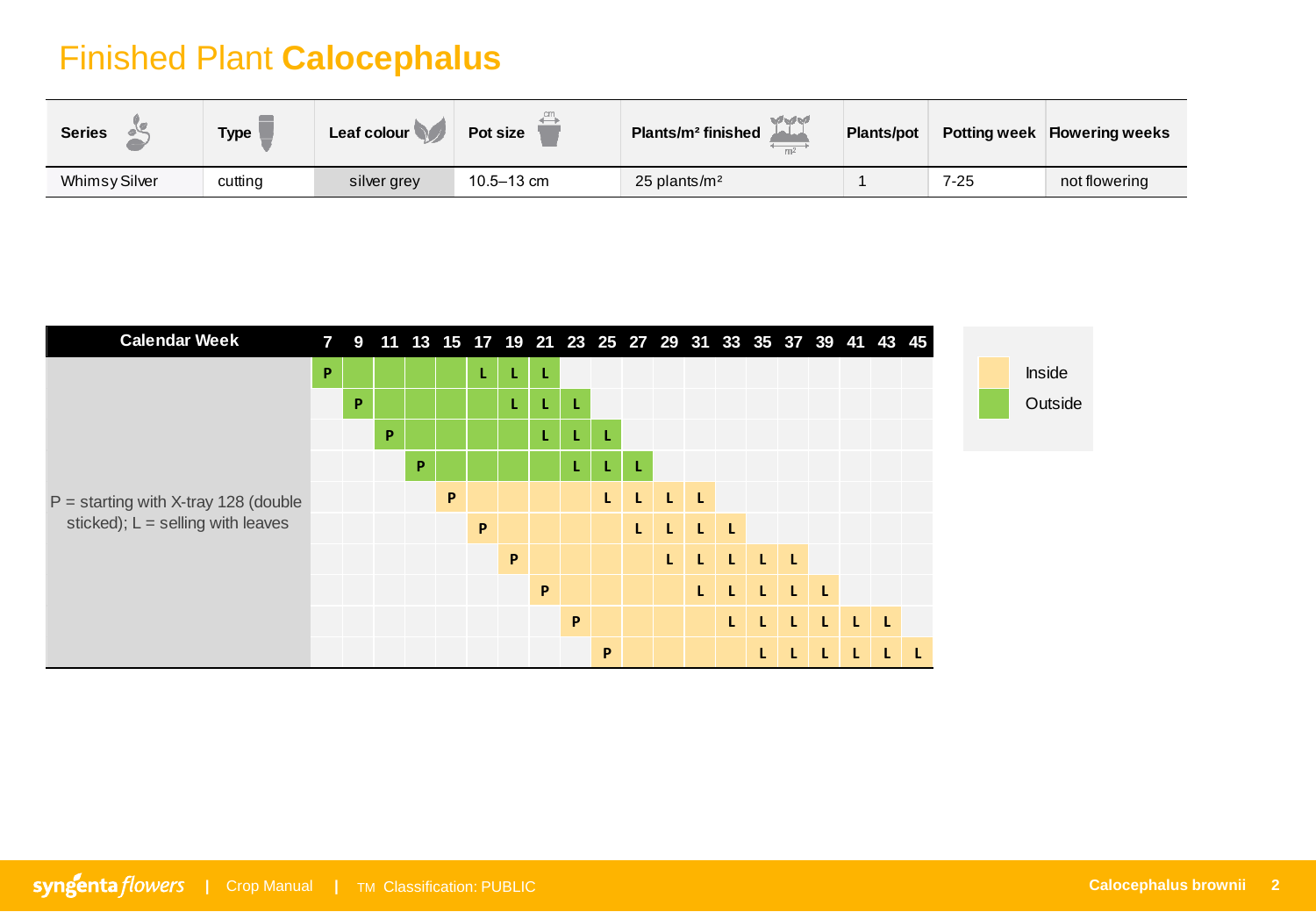## Finished Plant **Calocephalus**

| <b>Series</b> | <b>Type</b> | Leaf colour | Pot size       | マイマイ<br>Plants/m <sup>2</sup> finished | Plants/pot | <b>Potting week</b> | <b>Flowering weeks</b> |
|---------------|-------------|-------------|----------------|----------------------------------------|------------|---------------------|------------------------|
| Whimsy Silver | cutting     | silver grey | $10.5 - 13$ cm | $25$ plants/m <sup>2</sup>             |            | $7 - 25$            | not flowering          |

| <b>Calendar Week</b>                   |   |   |   | 7 9 11 13 15 17 19 21 23 25 27 29 31 33 35 37 39 41 43 45 |   |    |    |   |    |   |    |    |    |              |         |          |  |  |         |
|----------------------------------------|---|---|---|-----------------------------------------------------------|---|----|----|---|----|---|----|----|----|--------------|---------|----------|--|--|---------|
|                                        | P |   |   |                                                           |   | L. | L. | L |    |   |    |    |    |              |         |          |  |  | Inside  |
|                                        |   | P |   |                                                           |   |    | L. | L | -L |   |    |    |    |              |         |          |  |  | Outside |
|                                        |   |   | P |                                                           |   |    |    | L | L  |   |    |    |    |              |         |          |  |  |         |
|                                        |   |   |   | P                                                         |   |    |    |   | L  |   |    |    |    |              |         |          |  |  |         |
| $P =$ starting with X-tray 128 (double |   |   |   |                                                           | P |    |    |   |    |   | L. | L  | L  |              |         |          |  |  |         |
| sticked); $L =$ selling with leaves    |   |   |   |                                                           |   | P  |    |   |    |   |    | L. | T. | -L           |         |          |  |  |         |
|                                        |   |   |   |                                                           |   |    | P  |   |    |   |    | L. | L  | $\mathbf{L}$ | $L$ $L$ |          |  |  |         |
|                                        |   |   |   |                                                           |   |    |    | P |    |   |    |    | L  |              |         | <b>L</b> |  |  |         |
|                                        |   |   |   |                                                           |   |    |    |   | P  |   |    |    |    |              |         |          |  |  |         |
|                                        |   |   |   |                                                           |   |    |    |   |    | P |    |    |    |              |         |          |  |  |         |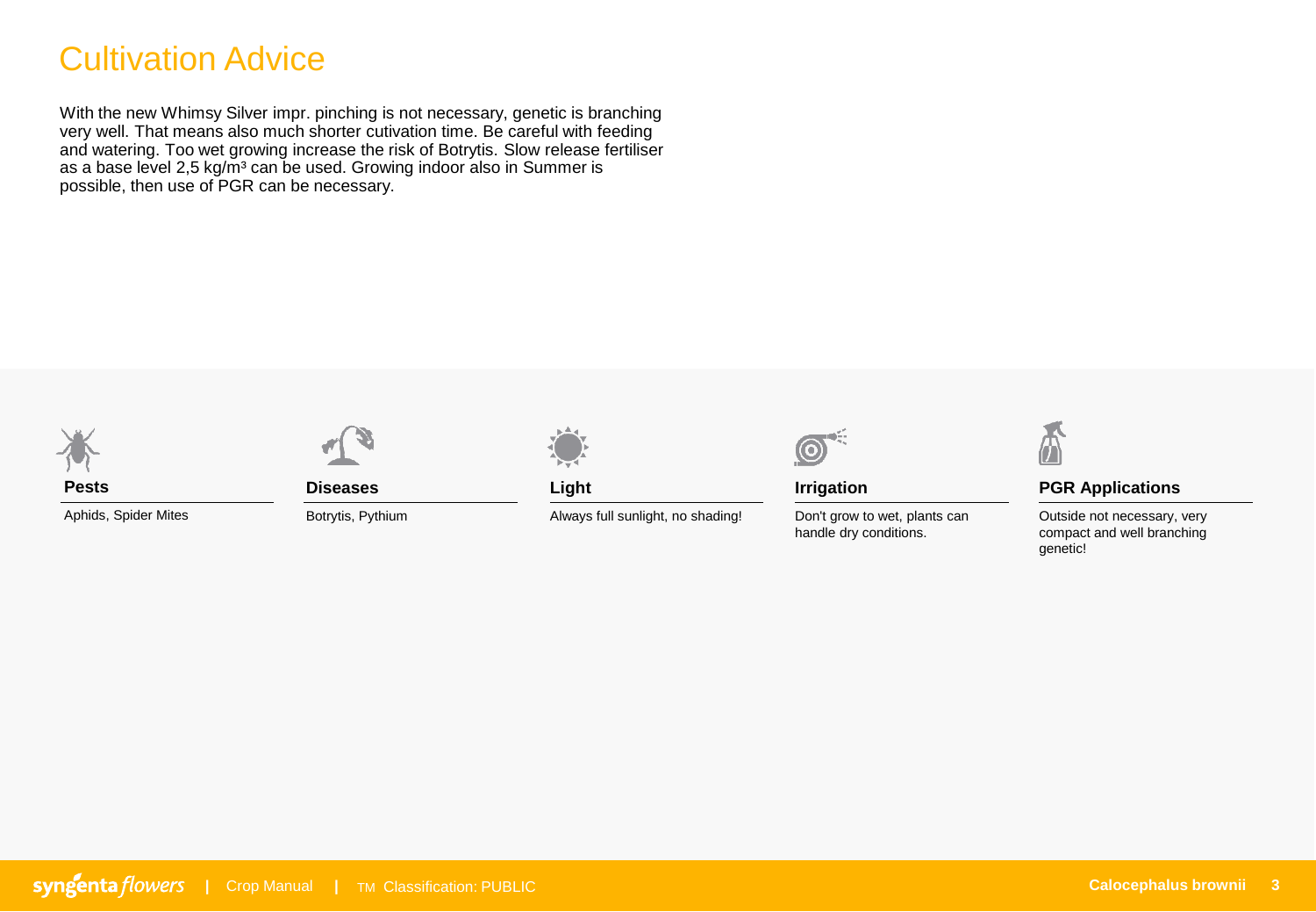## Cultivation Advice

With the new Whimsy Silver impr. pinching is not necessary, genetic is branching very well. That means also much shorter cutivation time. Be careful with feeding and watering. Too wet growing increase the risk of Botrytis. Slow release fertiliser as a base level 2,5 kg/m<sup>3</sup> can be used. Growing indoor also in Summer is possible, then use of PGR can be necessary.





Aphids, Spider Mites



**Diseases**

Botrytis, Pythium



**Light**

Always full sunlight, no shading!



**Irrigation**

Don't grow to wet, plants can handle dry conditions.



#### **PGR Applications**

Outside not necessary, very compact and well branching genetic!